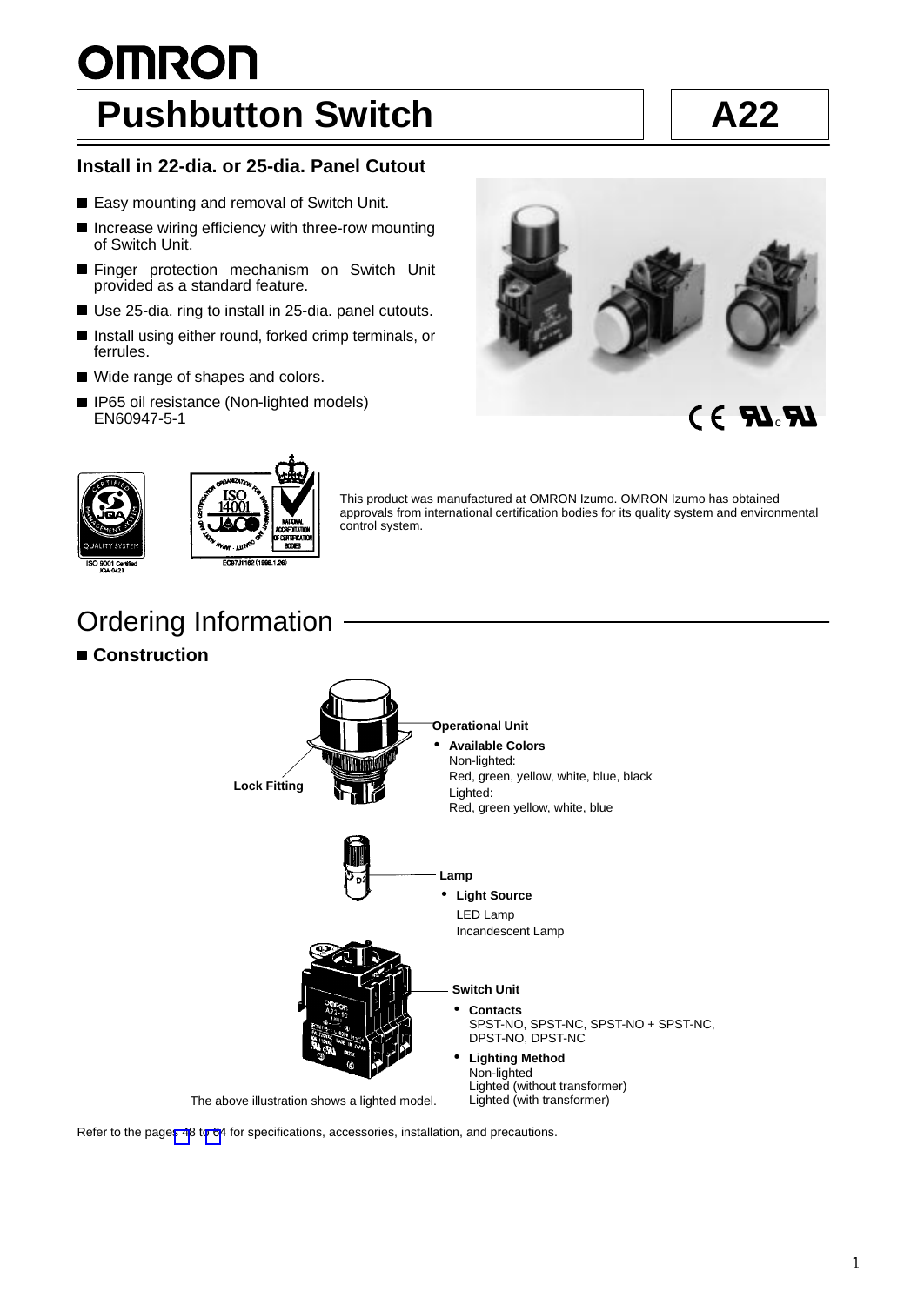# <span id="page-0-0"></span>**OMRON Pushbutton Switch A22**

# **Install in 22-dia. or 25-dia. Panel Cutout**

- Easy mounting and removal of Switch Unit.
- **Increase wiring efficiency with three-row mounting** of Switch Unit.
- **Finger protection mechanism on Switch Unit** provided as a standard feature.
- Use 25-dia. ring to install in 25-dia. panel cutouts.
- Install using either round, forked crimp terminals, or ferrules.
- Wide range of shapes and colors.
- 



This product was manufactured at OMRON Izumo. OMRON Izumo has obtained approvals from international certification bodies for its quality system and environmental





control system.

Ordering Information

# **Construction**



Refer to the pages 48 t[o 64](#page-16-0) for specifications, accessories, installation, and precautions.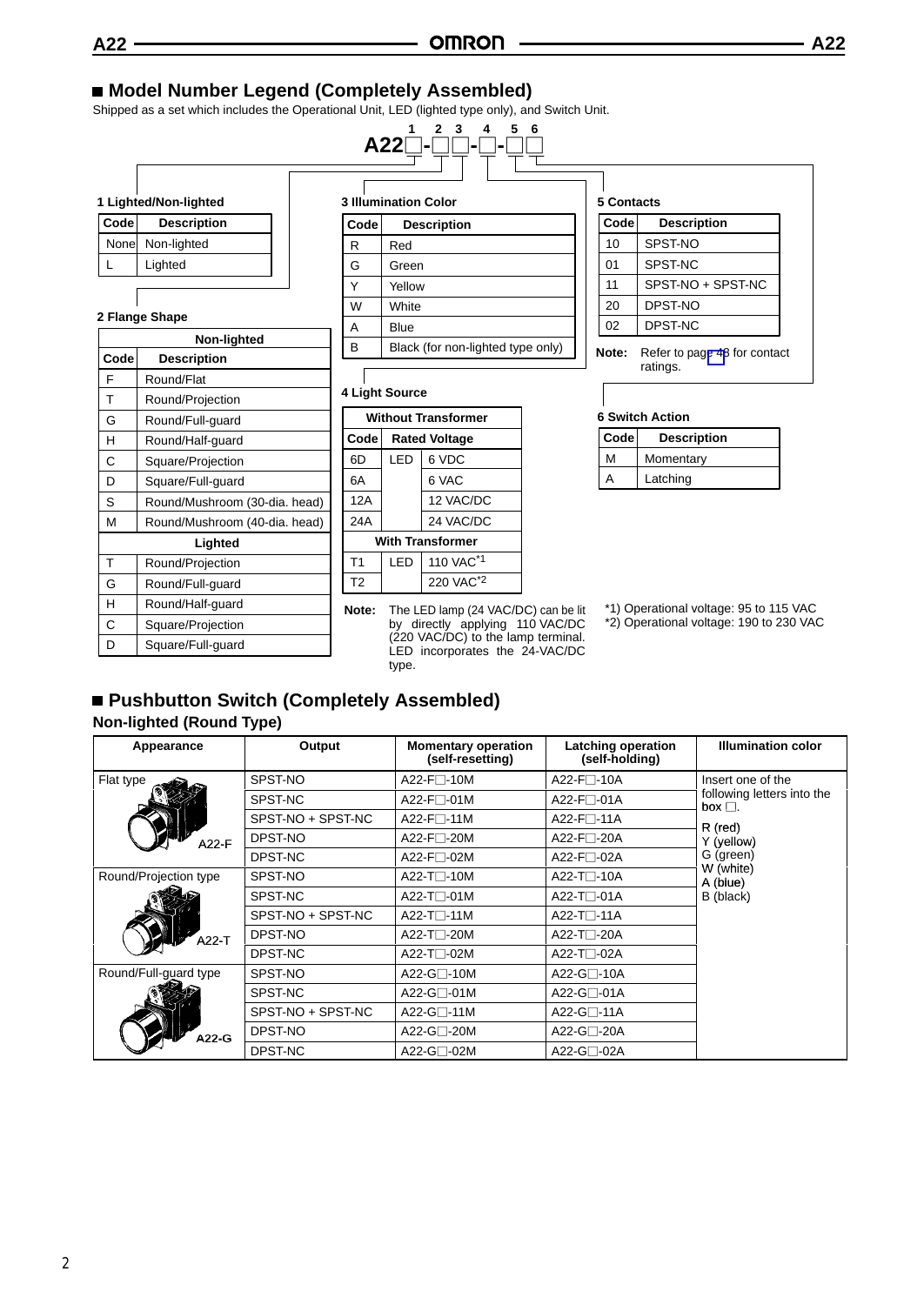# **Model Number Legend (Completely Assembled)**

Shipped as a set which includes the Operational Unit, LED (lighted type only), and Switch Unit.

|       | 1 Lighted/Non-lighted |
|-------|-----------------------|
| Code  | <b>Description</b>    |
| Nonel | Non-lighted           |
|       | Lighted               |

#### **2 Flange Shape**

|      | Non-lighted                   |  |  |  |  |  |  |
|------|-------------------------------|--|--|--|--|--|--|
| Code | <b>Description</b>            |  |  |  |  |  |  |
| F    | Round/Flat                    |  |  |  |  |  |  |
| Τ    | Round/Projection              |  |  |  |  |  |  |
| G    | Round/Full-guard              |  |  |  |  |  |  |
| н    | Round/Half-guard              |  |  |  |  |  |  |
| С    | Square/Projection             |  |  |  |  |  |  |
| D    | Square/Full-guard             |  |  |  |  |  |  |
| S    | Round/Mushroom (30-dia. head) |  |  |  |  |  |  |
| М    | Round/Mushroom (40-dia. head) |  |  |  |  |  |  |
|      | Lighted                       |  |  |  |  |  |  |
| Т    | Round/Projection              |  |  |  |  |  |  |
| G    | Round/Full-quard              |  |  |  |  |  |  |
| H    | Round/Half-guard              |  |  |  |  |  |  |
| Ć    | Square/Projection             |  |  |  |  |  |  |
| D    | Square/Full-quard             |  |  |  |  |  |  |

# $\frac{2}{\sqrt{2}}$  -**A22**<sup>1</sup>-<sup>2</sup><sup>3</sup>-<sup>4</sup>-<sup>5</sup>-<sup>6</sup>  $\sqrt{ }$

| <b>3 Illumination Color</b> |                                   |  |  |  |  |
|-----------------------------|-----------------------------------|--|--|--|--|
| Code                        | <b>Description</b>                |  |  |  |  |
| R                           | Red                               |  |  |  |  |
| G                           | Green                             |  |  |  |  |
|                             | Yellow                            |  |  |  |  |
| W                           | White                             |  |  |  |  |
| А                           | Blue                              |  |  |  |  |
| B                           | Black (for non-lighted type only) |  |  |  |  |

#### **4 Light Source**

| <b>Without Transformer</b> |     |                       |  |  |  |  |  |
|----------------------------|-----|-----------------------|--|--|--|--|--|
| Code                       |     | <b>Rated Voltage</b>  |  |  |  |  |  |
| 6D                         | LED | 6 VDC                 |  |  |  |  |  |
| 6A                         |     | 6 VAC                 |  |  |  |  |  |
| 12A                        |     | 12 VAC/DC             |  |  |  |  |  |
| 24A                        |     | 24 VAC/DC             |  |  |  |  |  |
| <b>With Transformer</b>    |     |                       |  |  |  |  |  |
| T1                         | LED | 110 VAC <sup>*1</sup> |  |  |  |  |  |
| T2                         |     | 220 VAC <sup>*2</sup> |  |  |  |  |  |

**Note:** The LED lamp (24 VAC/DC) can be lit by directly applying 110 VAC/DC (220 VAC/DC) to the lamp terminal. LED incorporates the 24-VAC/DC type.

| Code | <b>Description</b> |
|------|--------------------|
| 10   | SPST-NO            |
| 01   | SPST-NC            |
| 11   | SPST-NO + SPST-NC  |
| 20   | DPST-NO            |
| 02   | DPST-NC            |

**Note:** Refer to pag[e 48](#page-0-0) for contact ratings.

#### **6 Switch Action**

| Code | <b>Description</b> |
|------|--------------------|
| м    | Momentary          |
| А    | Latching           |

- \*2) Operational voltage: 190 to 230 VAC
- **Pushbutton Switch (Completely Assembled) Non-lighted (Round Type)**

| Appearance            | Output            | <b>Momentary operation</b><br>(self-resetting) | Latching operation<br>(self-holding) | <b>Illumination color</b>                  |
|-----------------------|-------------------|------------------------------------------------|--------------------------------------|--------------------------------------------|
| Flat type             | SPST-NO           | A22-F□-10M                                     | A22-F $\square$ -10A                 | Insert one of the                          |
|                       | SPST-NC           | A22-F□-01M                                     | A22-F $\Box$ -01A                    | following letters into the<br>box $\Box$ . |
|                       | SPST-NO + SPST-NC | A22-F $\sqcap$ -11M                            | $A22-F$ $-11A$                       | R (red)                                    |
| A22-F                 | DPST-NO           | A22-F⊟-20M                                     | A22-F□-20A                           | Y (yellow)                                 |
|                       | DPST-NC           | A22-F□-02M                                     | A22-F□-02A                           | G (green)                                  |
| Round/Projection type | SPST-NO           | A22-T□-10M                                     | A22-T $\square$ -10A                 | W (white)<br>A (blue)                      |
|                       | SPST-NC           | A22-T⊟-01M                                     | $A22-T$ $-01A$                       | B (black)                                  |
|                       | SPST-NO + SPST-NC | A22-T $\Box$ -11M                              | $A22-TT-11A$                         |                                            |
| $A22-T$               | DPST-NO           | A22-T <sub>1</sub> -20M                        | A22-T□-20A                           |                                            |
|                       | DPST-NC           | A22-T□-02M                                     | $A22-TT-02A$                         |                                            |
| Round/Full-guard type | SPST-NO           | A22-G□-10M                                     | A22-G□-10A                           |                                            |
| A22-G                 | SPST-NC           | A22-G $\Box$ -01M                              | $A22-G$ -01A                         |                                            |
|                       | SPST-NO + SPST-NC | A22-G□-11M                                     | A22-G□-11A                           |                                            |
|                       | DPST-NO           | A22-G□-20M                                     | A22-G□-20A                           |                                            |
|                       | DPST-NC           | A22-G⊟-02M                                     | $A22-G$ -02A                         |                                            |

2

<sup>\*1)</sup> Operational voltage: 95 to 115 VAC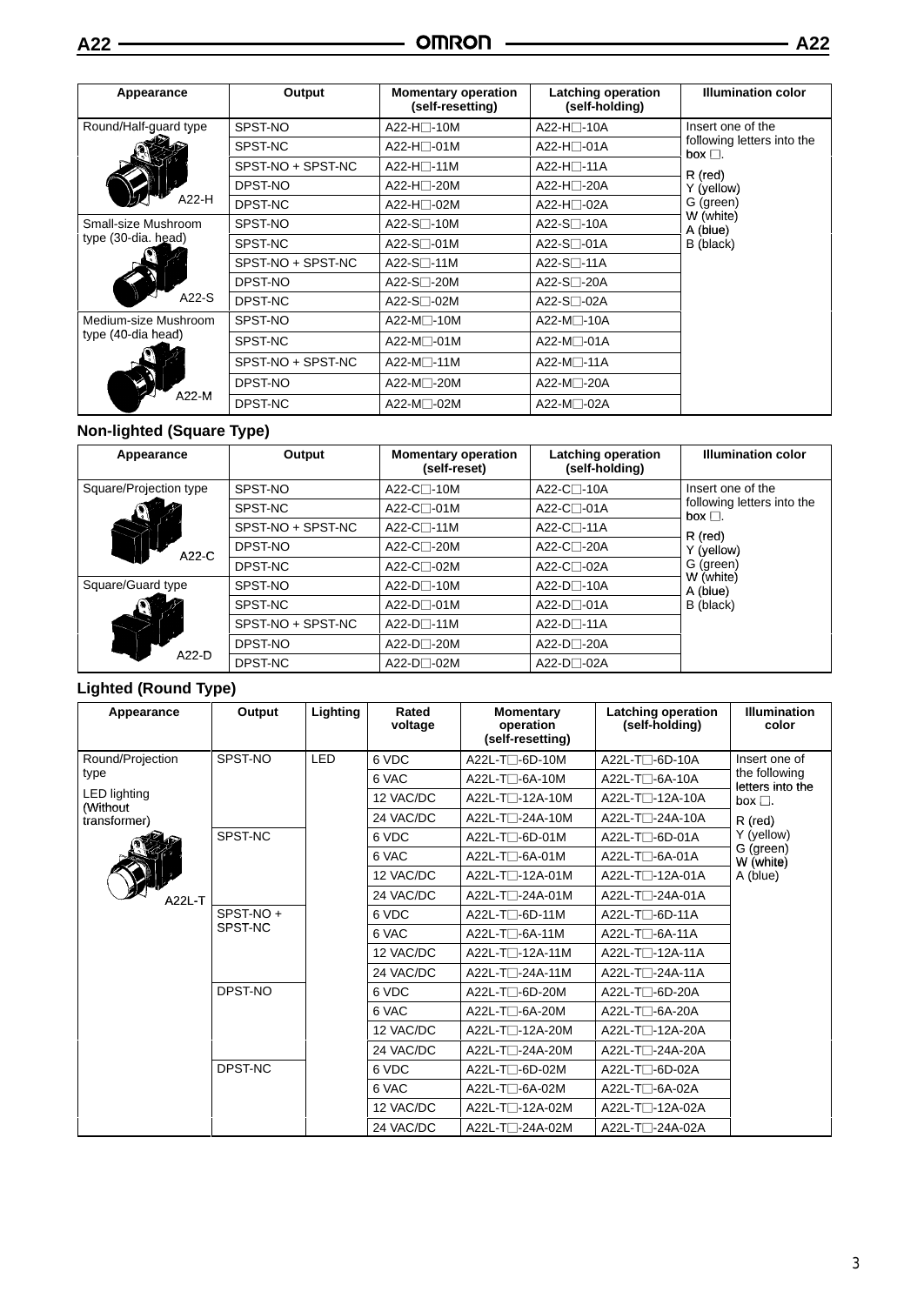| Appearance                  | Output            | <b>Momentary operation</b><br>(self-resetting) | <b>Latching operation</b><br>(self-holding) | <b>Illumination color</b>                  |  |
|-----------------------------|-------------------|------------------------------------------------|---------------------------------------------|--------------------------------------------|--|
| Round/Half-guard type       | SPST-NO           | A22-H□-10M                                     | A22-H□-10A                                  | Insert one of the                          |  |
|                             | SPST-NC           | A22-H□-01M                                     | A22-H□-01A                                  | following letters into the<br>box $\Box$ . |  |
|                             | SPST-NO + SPST-NC | A22-H□-11M                                     | A22-H⊟-11A                                  | R (red)                                    |  |
|                             | DPST-NO           | A22-H□-20M                                     | A22-H <sub>□</sub> -20A                     | Y (yellow)                                 |  |
| A22-H                       | DPST-NC           | A22-H⊟-02M                                     | A22-H□-02A                                  | G (green)                                  |  |
| Small-size Mushroom         | SPST-NO           | A22-S $\square$ -10M                           | A22-S□-10A                                  | W (white)<br>A (blue)                      |  |
| type (30-dia. head)         | SPST-NC           | A22-S□-01M                                     | $A22-S$ -01A                                | B (black)                                  |  |
|                             | SPST-NO + SPST-NC | A22-S□-11M                                     | A22-S□-11A                                  |                                            |  |
|                             | DPST-NO           | A22-S□-20M                                     | A22-S□-20A                                  |                                            |  |
| $A22-S$                     | DPST-NC           | A22-S $\Box$ -02M                              | $A22-S$ $\neg$ -02A                         |                                            |  |
| Medium-size Mushroom        | SPST-NO           | A22-M□-10M                                     | A22-M□-10A                                  |                                            |  |
| type (40-dia head)<br>A22-M | SPST-NC           | A22-M⊟-01M                                     | A22-M <sup>-</sup> 01A                      |                                            |  |
|                             | SPST-NO + SPST-NC | $A22-M$ -11M                                   | $A22-M$ -11A                                |                                            |  |
|                             | DPST-NO           | A22-M⊟-20M                                     | A22-M⊟-20A                                  |                                            |  |
|                             | DPST-NC           | A22-M□-02M                                     | A22-M□-02A                                  |                                            |  |

# **Non-lighted (Square Type)**

| Appearance                 | Output            | <b>Momentary operation</b><br>(self-reset) | Latching operation<br>(self-holding) | <b>Illumination color</b>                  |
|----------------------------|-------------------|--------------------------------------------|--------------------------------------|--------------------------------------------|
| Square/Projection type     | SPST-NO           | $A22-C$ -10M<br>A22-C <sub>1</sub> -10A    |                                      | Insert one of the                          |
|                            | SPST-NC           | A22-C⊟-01M                                 | $A22-C$ -01A                         | following letters into the<br>box $\Box$ . |
|                            | SPST-NO + SPST-NC | A22-C $\Box$ -11M                          | $A22-C$ -11A                         | $R$ (red)                                  |
| A22-C                      | DPST-NO           | $A22-C$ -20M                               | A22-C⊟-20A                           | Y (yellow)                                 |
|                            | DPST-NC           | $A22-C$ -02M                               | $A22-C$ - $O2A$                      | G (green)                                  |
| Square/Guard type<br>A22-D | SPST-NO           | $A22-D$ -10M                               | $A22-D$ -10A                         | W (white)<br>A (blue)                      |
|                            | SPST-NC           | $A22-D$ -01M                               | $A22-D$ -01A                         | B (black)                                  |
|                            | SPST-NO + SPST-NC | $A22-D$ -11M                               | $A22-D$ -11A                         |                                            |
|                            | DPST-NO           | $A22-D$ -20M                               | $A22-D$ -20A                         |                                            |
|                            | DPST-NC           | $A22-D$ -02M                               | $A22-D$ -02A                         |                                            |

# **Lighted (Round Type)**

| Appearance                      | Output              | Lighting   | Rated<br>voltage | <b>Momentary</b><br>operation<br>(self-resetting) | Latching operation<br>(self-holding) | <b>Illumination</b><br>color      |
|---------------------------------|---------------------|------------|------------------|---------------------------------------------------|--------------------------------------|-----------------------------------|
| Round/Projection                | SPST-NO             | <b>LED</b> | 6 VDC            | A22L-T□-6D-10M                                    | A22L-T□-6D-10A                       | Insert one of                     |
| type                            |                     |            | 6 VAC            | $A22L-T$ -6A-10M                                  | A22L-T□-6A-10A                       | the following<br>letters into the |
| <b>LED</b> lighting<br>(Without |                     |            | 12 VAC/DC        | A22L-T <sub>1</sub> -12A-10M                      | A22L-T <sub>1</sub> -12A-10A         | box $\Box$ .                      |
| transformer)                    |                     |            | 24 VAC/DC        | A22L-T□-24A-10M                                   | A22L-T□-24A-10A                      | R (red)                           |
|                                 | SPST-NC             |            | 6 VDC            | A22L-T□-6D-01M                                    | A22L-T□-6D-01A                       | Y (yellow)                        |
|                                 |                     |            | 6 VAC            | $A22L-T$ $-6A-01M$                                | A22L-T⊟-6A-01A                       | G (green)<br>W (white)            |
|                                 |                     |            | 12 VAC/DC        | A22L-T <sub>1</sub> -12A-01M                      | A22L-T <sub>1</sub> -12A-01A         | A (blue)                          |
| A22L-T                          |                     |            | 24 VAC/DC        | A22L-T□-24A-01M                                   | A22L-T <sub>1</sub> -24A-01A         |                                   |
|                                 | SPST-NO+<br>SPST-NC |            | 6 VDC            | A22L-T□-6D-11M                                    | $A22L$ -T $\Box$ -6D-11A             |                                   |
|                                 |                     |            | 6 VAC            | $A22L$ -T $\Box$ -6A-11M                          | A22L-T□-6A-11A                       |                                   |
|                                 |                     |            | 12 VAC/DC        | A22L-T <sub>1</sub> -12A-11M                      | A22L-T <sub>1</sub> -12A-11A         |                                   |
|                                 |                     |            | 24 VAC/DC        | A22L-T <sub>1</sub> -24A-11M                      | A22L-T□-24A-11A                      |                                   |
|                                 | DPST-NO             |            | 6 VDC            | A22L-T□-6D-20M                                    | A22L-T□-6D-20A                       |                                   |
|                                 |                     |            | 6 VAC            | A22L-T□-6A-20M                                    | A22L-T□-6A-20A                       |                                   |
|                                 |                     |            | 12 VAC/DC        | A22L-T <sub>1</sub> -12A-20M                      | A22L-T <sub>1</sub> -12A-20A         |                                   |
|                                 |                     |            | 24 VAC/DC        | A22L-T□-24A-20M                                   | A22L-T <sub>1</sub> -24A-20A         |                                   |
|                                 | DPST-NC             |            | 6 VDC            | A22L-T□-6D-02M                                    | A22L-T□-6D-02A                       |                                   |
|                                 |                     |            | 6 VAC            | A22L-T□-6A-02M                                    | A22L-T□-6A-02A                       |                                   |
|                                 |                     |            | 12 VAC/DC        | A22L-T <sub>1</sub> -12A-02M                      | A22L-T <sub>1</sub> -12A-02A         |                                   |
|                                 |                     |            | 24 VAC/DC        | A22L-T□-24A-02M                                   | A22L-T□-24A-02A                      |                                   |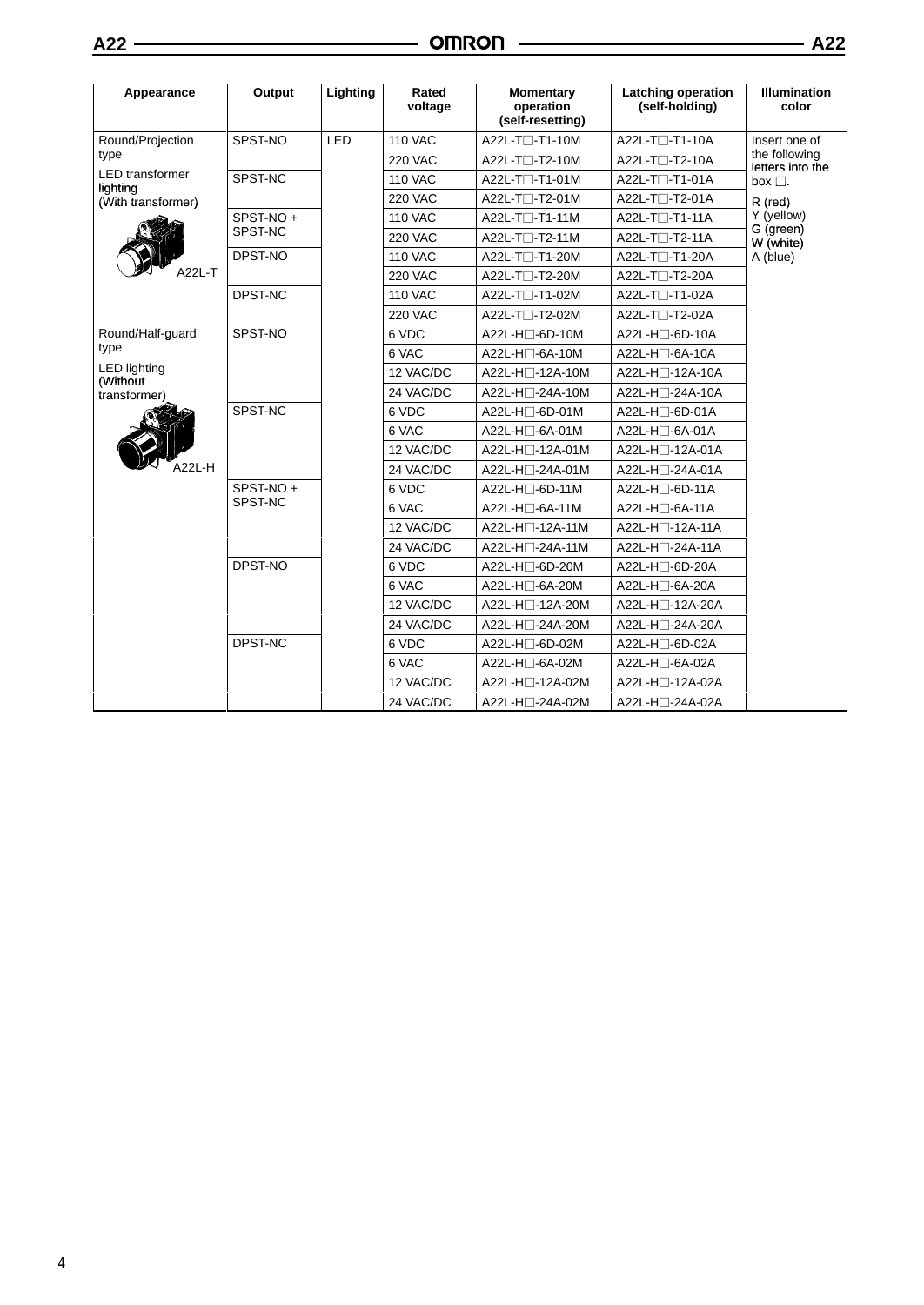| Appearance                         | Output   | Lighting | Rated<br>voltage | <b>Momentary</b><br>operation<br>(self-resetting) | <b>Latching operation</b><br>(self-holding) | <b>Illumination</b><br>color      |  |
|------------------------------------|----------|----------|------------------|---------------------------------------------------|---------------------------------------------|-----------------------------------|--|
| Round/Projection                   | SPST-NO  | LED      | <b>110 VAC</b>   | A22L-T□-T1-10M                                    | A22L-T <sub>1</sub> -T1-10A                 | Insert one of                     |  |
| type                               |          |          | <b>220 VAC</b>   | A22L-T□-T2-10M                                    | A22L-T <sub>1</sub> -T2-10A                 | the following<br>letters into the |  |
| <b>LED</b> transformer<br>lighting | SPST-NC  |          | <b>110 VAC</b>   | A22L-T <sup>-</sup> T1-01M                        | A22L-T <sub>1</sub> -T1-01A                 | box $\Box$ .                      |  |
| (With transformer)                 |          |          | <b>220 VAC</b>   | A22L-T□-T2-01M                                    | A22L-T□-T2-01A                              | R (red)                           |  |
|                                    | SPST-NO+ |          | <b>110 VAC</b>   | A22L-T□-T1-11M                                    | A22L-T <sub>1</sub> -T1-11A                 | Y (yellow)                        |  |
|                                    | SPST-NC  |          | <b>220 VAC</b>   | A22L-T□-T2-11M                                    | A22L-T□-T2-11A                              | G (green)<br>W (white)            |  |
|                                    | DPST-NO  |          | <b>110 VAC</b>   | A22L-T□-T1-20M                                    | A22L-T <sub>1</sub> -T1-20A                 | A (blue)                          |  |
| A22L-T                             |          |          | <b>220 VAC</b>   | A22L-T□-T2-20M                                    | A22L-T□-T2-20A                              |                                   |  |
|                                    | DPST-NC  |          | <b>110 VAC</b>   | A22L-T□-T1-02M                                    | A22L-T <sub>1</sub> -T1-02A                 |                                   |  |
|                                    |          |          | <b>220 VAC</b>   | A22L-T <sup>-</sup> T2-02M                        | A22L-T <sub>1</sub> -T2-02A                 |                                   |  |
| Round/Half-guard                   | SPST-NO  |          | 6 VDC            | A22L-H□-6D-10M                                    | A22L-H□-6D-10A                              |                                   |  |
| type                               |          |          | 6 VAC            | $A22L-H \square - 6A-10M$                         | A22L-H□-6A-10A                              |                                   |  |
| <b>LED lighting</b><br>(Without    |          |          | 12 VAC/DC        | A22L-H□-12A-10M                                   | A22L-H□-12A-10A                             |                                   |  |
| transformer)                       |          |          | 24 VAC/DC        | A22L-H□-24A-10M                                   | A22L-H□-24A-10A                             |                                   |  |
|                                    | SPST-NC  |          | 6 VDC            | A22L-H□-6D-01M                                    | A22L-H□-6D-01A                              |                                   |  |
|                                    |          |          | 6 VAC            | A22L-H□-6A-01M                                    | A22L-H□-6A-01A                              |                                   |  |
|                                    |          |          | 12 VAC/DC        | A22L-H□-12A-01M                                   | A22L-H <sub>1</sub> -12A-01A                |                                   |  |
| A22L-H                             |          |          | 24 VAC/DC        | A22L-H□-24A-01M                                   | A22L-H□-24A-01A                             |                                   |  |
|                                    | SPST-NO+ |          | 6 VDC            | A22L-H□-6D-11M                                    | $A22L-H \Box -6D-11A$                       |                                   |  |
|                                    |          | SPST-NC  |                  | 6 VAC                                             | A22L-H□-6A-11M                              | A22L-H□-6A-11A                    |  |
|                                    |          |          | 12 VAC/DC        | A22L-H□-12A-11M                                   | A22L-H <sub>1</sub> -12A-11A                |                                   |  |
|                                    |          |          | 24 VAC/DC        | A22L-H□-24A-11M                                   | A22L-H□-24A-11A                             |                                   |  |
|                                    | DPST-NO  |          | 6 VDC            | A22L-H□-6D-20M                                    | A22L-H□-6D-20A                              |                                   |  |
|                                    |          |          | 6 VAC            | A22L-H□-6A-20M                                    | A22L-H <sub>D</sub> -6A-20A                 |                                   |  |
|                                    |          |          | 12 VAC/DC        | A22L-H□-12A-20M                                   | A22L-H□-12A-20A                             |                                   |  |
|                                    |          |          | 24 VAC/DC        | A22L-H□-24A-20M                                   | A22L-H□-24A-20A                             |                                   |  |
|                                    | DPST-NC  |          | 6 VDC            | A22L-H□-6D-02M                                    | A22L-H□-6D-02A                              |                                   |  |
|                                    |          |          | 6 VAC            | A22L-H□-6A-02M                                    | A22L-H□-6A-02A                              |                                   |  |
|                                    |          |          | 12 VAC/DC        | A22L-H□-12A-02M                                   | A22L-H□-12A-02A                             |                                   |  |
|                                    |          |          | 24 VAC/DC        | A22L-H□-24A-02M                                   | A22L-H□-24A-02A                             |                                   |  |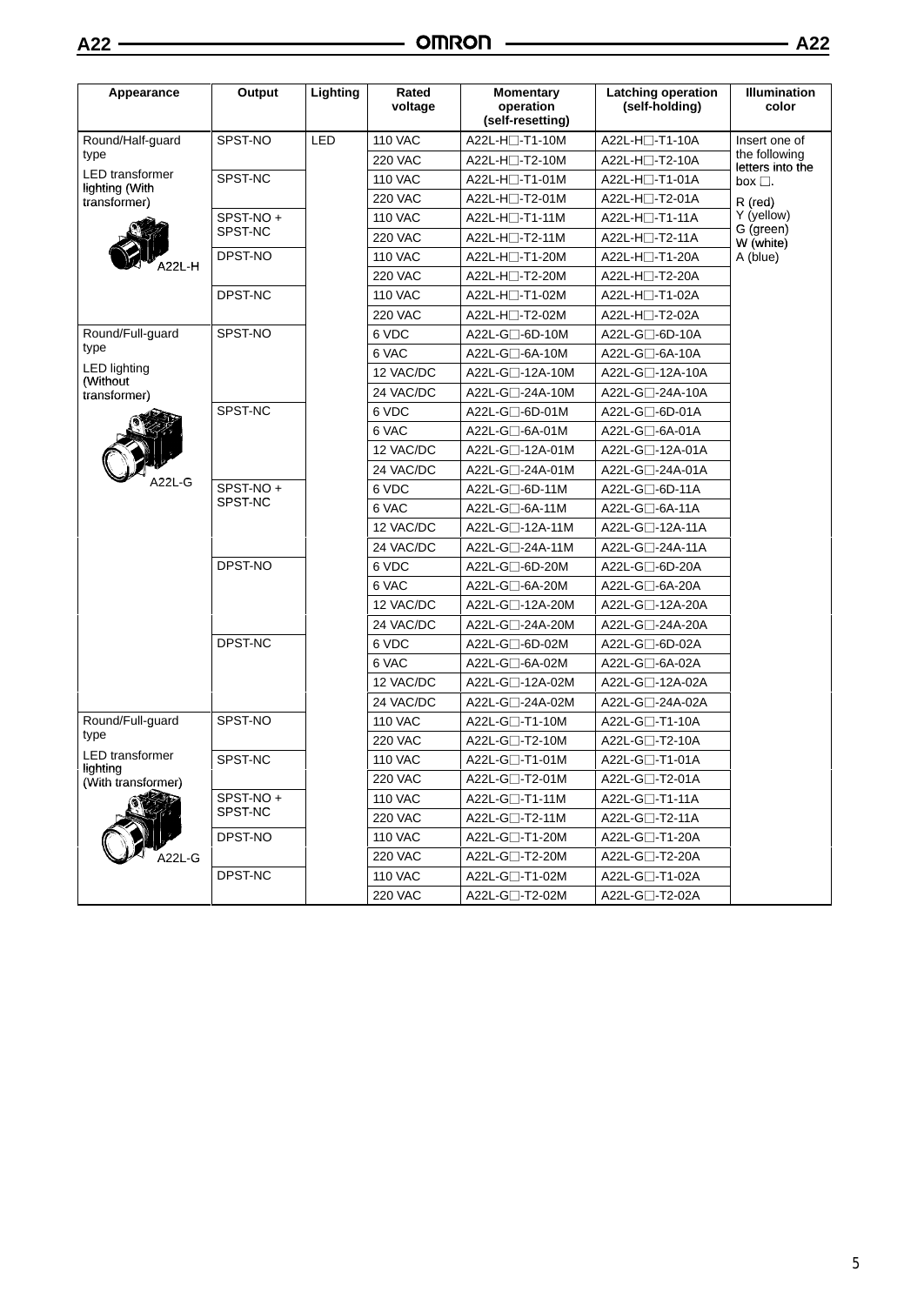| Appearance                         | Output    | Lighting | Rated<br>voltage | <b>Momentary</b><br>operation<br>(self-resetting) | <b>Latching operation</b><br>(self-holding) | <b>Illumination</b><br>color      |
|------------------------------------|-----------|----------|------------------|---------------------------------------------------|---------------------------------------------|-----------------------------------|
| Round/Half-guard                   | SPST-NO   | LED      | <b>110 VAC</b>   | A22L-H□-T1-10M                                    | A22L-H□-T1-10A                              | Insert one of                     |
| type                               |           |          | <b>220 VAC</b>   | $A22L-H \Box - T2-10M$                            | A22L-H□-T2-10A                              | the following<br>letters into the |
| <b>LED</b> transformer             | SPST-NC   |          | <b>110 VAC</b>   | A22L-H□-T1-01M                                    | A22L-H⊟-T1-01A                              | box $\square$ .                   |
| lighting (With<br>transformer)     |           |          | <b>220 VAC</b>   | A22L-H□-T2-01M                                    | A22L-H□-T2-01A                              | R (red)                           |
|                                    | SPST-NO+  |          | <b>110 VAC</b>   | $A22L-H$ - T1-11M                                 | A22L-H□-T1-11A                              | Y (yellow)                        |
|                                    | SPST-NC   |          | <b>220 VAC</b>   | A22L-H□-T2-11M                                    | A22L-H□-T2-11A                              | G (green)<br>W (white)            |
|                                    | DPST-NO   |          | <b>110 VAC</b>   | A22L-H□-T1-20M                                    | A22L-H□-T1-20A                              | A (blue)                          |
| 422L-H                             |           |          | <b>220 VAC</b>   | A22L-H□-T2-20M                                    | A22L-H□-T2-20A                              |                                   |
|                                    | DPST-NC   |          | <b>110 VAC</b>   | $A22L-H \Box - T1-02M$                            | A22L-H□-T1-02A                              |                                   |
|                                    |           |          | <b>220 VAC</b>   | A22L-H□-T2-02M                                    | A22L-H□-T2-02A                              |                                   |
| Round/Full-guard                   | SPST-NO   |          | 6 VDC            | $A22L-G \Box -6D-10M$                             | A22L-G□-6D-10A                              |                                   |
| type                               |           |          | 6 VAC            | $A22L-G$ -6A-10M                                  | A22L-G□-6A-10A                              |                                   |
| <b>LED lighting</b><br>(Without)   |           |          | 12 VAC/DC        | A22L-G <sub>1</sub> -12A-10M                      | A22L-G□-12A-10A                             |                                   |
| transformer)                       |           |          | 24 VAC/DC        | A22L-G□-24A-10M                                   | A22L-G□-24A-10A                             |                                   |
|                                    | SPST-NC   |          | 6 VDC            | $A22L-G \Box -6D-01M$                             | A22L-G□-6D-01A                              |                                   |
|                                    |           |          | 6 VAC            | $A22L-G \square - 6A - 01M$                       | A22L-G□-6A-01A                              |                                   |
|                                    |           |          | 12 VAC/DC        | A22L-G□-12A-01M                                   | A22L-G□-12A-01A                             |                                   |
|                                    |           |          | 24 VAC/DC        | A22L-G□-24A-01M                                   | A22L-G□-24A-01A                             |                                   |
| A22L-G                             | SPST-NO + |          | 6 VDC            | A22L-G□-6D-11M                                    | A22L-G□-6D-11A                              |                                   |
|                                    | SPST-NC   |          | 6 VAC            | $A22L-G \Box -6A-11M$                             | A22L-G□-6A-11A                              |                                   |
|                                    |           |          | 12 VAC/DC        | A22L-G□-12A-11M                                   | A22L-G□-12A-11A                             |                                   |
|                                    |           |          | 24 VAC/DC        | A22L-G□-24A-11M                                   | A22L-G□-24A-11A                             |                                   |
|                                    | DPST-NO   |          | 6 VDC            | A22L-G $\square$ -6D-20M                          | A22L-G□-6D-20A                              |                                   |
|                                    |           |          | 6 VAC            | $A22L-G \Box -6A-20M$                             | A22L-G□-6A-20A                              |                                   |
|                                    |           |          | 12 VAC/DC        | A22L-G□-12A-20M                                   | A22L-G□-12A-20A                             |                                   |
|                                    |           |          | 24 VAC/DC        | A22L-G□-24A-20M                                   | A22L-G□-24A-20A                             |                                   |
|                                    | DPST-NC   |          | 6 VDC            | A22L-G□-6D-02M                                    | A22L-G□-6D-02A                              |                                   |
|                                    |           |          | 6 VAC            | A22L-G□-6A-02M                                    | A22L-G□-6A-02A                              |                                   |
|                                    |           |          | 12 VAC/DC        | A22L-G <sub>1</sub> -12A-02M                      | A22L-G□-12A-02A                             |                                   |
|                                    |           |          | 24 VAC/DC        | A22L-G□-24A-02M                                   | A22L-G□-24A-02A                             |                                   |
| Round/Full-guard                   | SPST-NO   |          | <b>110 VAC</b>   | A22L-G□-T1-10M                                    | A22L-G□-T1-10A                              |                                   |
| type                               |           |          | <b>220 VAC</b>   | A22L-G $\Box$ -T2-10M                             | A22L-G□-T2-10A                              |                                   |
| <b>LED</b> transformer<br>lighting | SPST-NC   |          | <b>110 VAC</b>   | A22L-G□-T1-01M                                    | A22L-G□-T1-01A                              |                                   |
| (With transformer)                 |           |          | <b>220 VAC</b>   | A22L-G□-T2-01M                                    | A22L-G□-T2-01A                              |                                   |
|                                    | SPST-NO+  |          | 110 VAC          | $A22L-G$ -T1-11M                                  | A22L-G⊟-T1-11A                              |                                   |
|                                    | SPST-NC   |          | 220 VAC          | A22L-G $\Box$ -T2-11M                             | A22L-G□-T2-11A                              |                                   |
|                                    | DPST-NO   |          | <b>110 VAC</b>   | A22L-G□-T1-20M                                    | A22L-G□-T1-20A                              |                                   |
| A22L-G                             |           |          | <b>220 VAC</b>   | A22L-G□-T2-20M                                    | A22L-G□-T2-20A                              |                                   |
|                                    | DPST-NC   |          | 110 VAC          | A22L-G□-T1-02M                                    | A22L-G□-T1-02A                              |                                   |
|                                    |           |          | <b>220 VAC</b>   | A22L-G $\square$ -T2-02M                          | A22L-G□-T2-02A                              |                                   |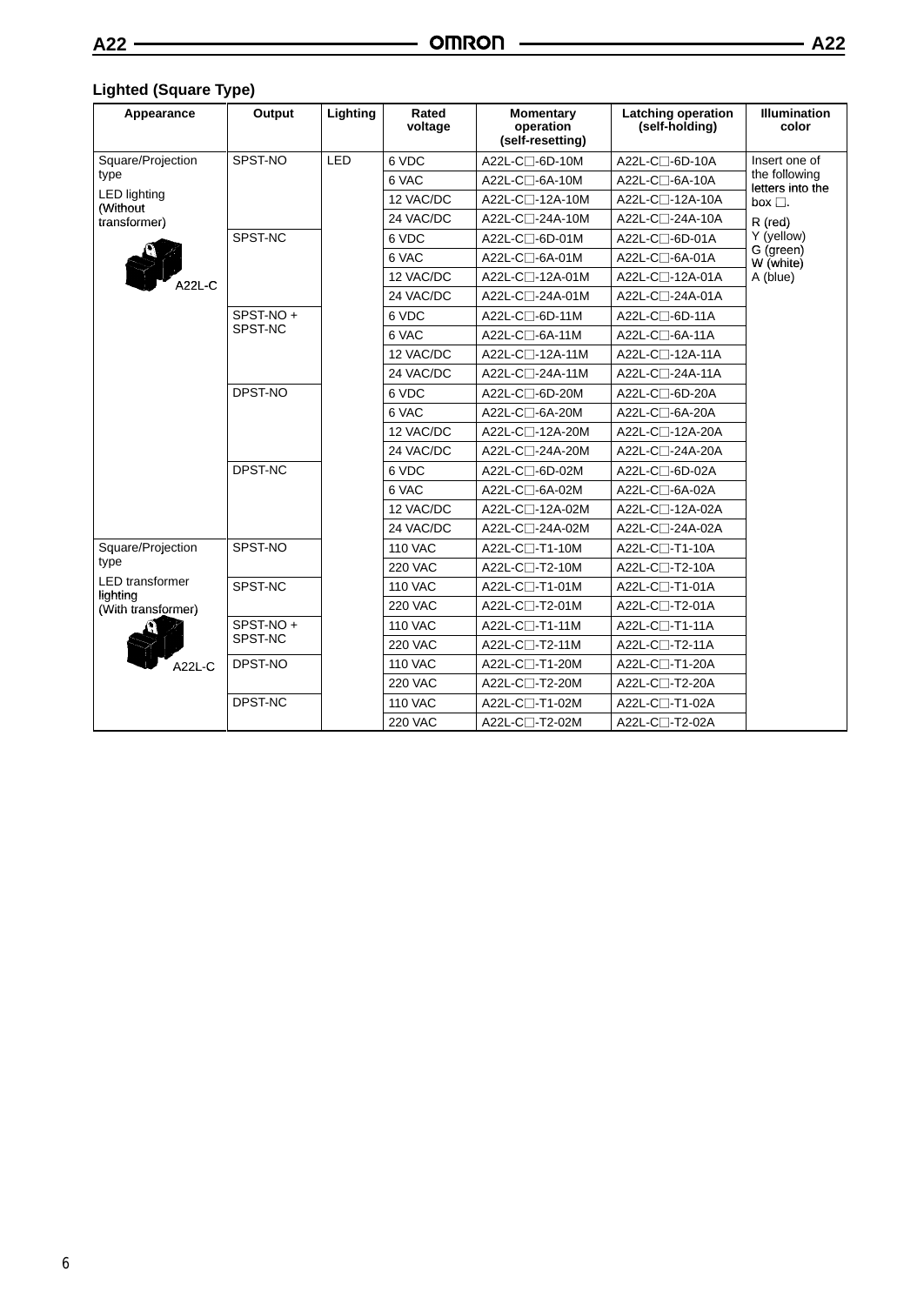# **Lighted (Square Type)**

| Appearance                                                                 | Output              | Lighting   | Rated<br>voltage | <b>Momentary</b><br>operation<br>(self-resetting) | <b>Latching operation</b><br>(self-holding) | <b>Illumination</b><br>color         |
|----------------------------------------------------------------------------|---------------------|------------|------------------|---------------------------------------------------|---------------------------------------------|--------------------------------------|
| Square/Projection                                                          | SPST-NO             | <b>LED</b> | 6 VDC            | A22L-C□-6D-10M                                    | A22L-C□-6D-10A                              | Insert one of                        |
| type                                                                       |                     |            | 6 VAC            | A22L-C□-6A-10M                                    | A22L-C⊟-6A-10A                              | the following<br>letters into the    |
| <b>LED lighting</b><br>(Without                                            |                     |            | 12 VAC/DC        | A22L-C□-12A-10M                                   | A22L-C□-12A-10A                             | box $\square$ .                      |
| transformer)                                                               |                     |            | 24 VAC/DC        | A22L-C□-24A-10M                                   | A22L-C□-24A-10A                             | R (red)                              |
|                                                                            | SPST-NC             |            | 6 VDC            | A22L-C□-6D-01M                                    | A22L-C□-6D-01A                              | Y (yellow)<br>G (green)<br>W (white) |
|                                                                            |                     |            | 6 VAC            | A22L-C□-6A-01M                                    | A22L-C□-6A-01A                              |                                      |
| \22L-C                                                                     |                     |            | 12 VAC/DC        | A22L-C□-12A-01M                                   | A22L-C□-12A-01A                             | A (blue)                             |
|                                                                            |                     |            | 24 VAC/DC        | A22L-C□-24A-01M                                   | A22L-C□-24A-01A                             |                                      |
|                                                                            | SPST-NO+            |            | 6 VDC            | A22L-C□-6D-11M                                    | A22L-C□-6D-11A                              |                                      |
|                                                                            | SPST-NC             |            | 6 VAC            | A22L-C□-6A-11M                                    | A22L-C□-6A-11A                              |                                      |
|                                                                            |                     |            | 12 VAC/DC        | A22L-C□-12A-11M                                   | A22L-C□-12A-11A                             |                                      |
|                                                                            |                     |            | 24 VAC/DC        | A22L-C□-24A-11M                                   | A22L-C□-24A-11A                             |                                      |
|                                                                            | DPST-NO             |            | 6 VDC            | A22L-C□-6D-20M                                    | A22L-C□-6D-20A                              |                                      |
|                                                                            |                     |            | 6 VAC            | A22L-C□-6A-20M                                    | A22L-C□-6A-20A                              |                                      |
|                                                                            |                     |            | 12 VAC/DC        | A22L-C□-12A-20M                                   | A22L-C□-12A-20A                             |                                      |
|                                                                            |                     |            | 24 VAC/DC        | A22L-C□-24A-20M                                   | A22L-C□-24A-20A                             |                                      |
|                                                                            | DPST-NC             |            | 6 VDC            | A22L-C□-6D-02M                                    | A22L-C□-6D-02A                              |                                      |
|                                                                            |                     |            | 6 VAC            | A22L-C□-6A-02M                                    | A22L-C□-6A-02A                              |                                      |
|                                                                            |                     |            | 12 VAC/DC        | A22L-C□-12A-02M                                   | A22L-C□-12A-02A                             |                                      |
|                                                                            |                     |            | 24 VAC/DC        | A22L-C□-24A-02M                                   | A22L-C□-24A-02A                             |                                      |
| Square/Projection                                                          | SPST-NO             |            | <b>110 VAC</b>   | A22L-C□-T1-10M                                    | A22L-C□-T1-10A                              |                                      |
| type<br><b>LED</b> transformer<br>liahtina<br>(With transformer)<br>A22L-C |                     |            | <b>220 VAC</b>   | A22L-C□-T2-10M                                    | A22L-C□-T2-10A                              |                                      |
|                                                                            | SPST-NC             |            | <b>110 VAC</b>   | A22L-C□-T1-01M                                    | A22L-C□-T1-01A                              |                                      |
|                                                                            |                     |            | <b>220 VAC</b>   | A22L-C□-T2-01M                                    | A22L-C□-T2-01A                              |                                      |
|                                                                            | SPST-NO+<br>SPST-NC |            | <b>110 VAC</b>   | A22L-C□-T1-11M                                    | A22L-C□-T1-11A                              |                                      |
|                                                                            |                     |            | <b>220 VAC</b>   | A22L-C□-T2-11M                                    | A22L-C□-T2-11A                              |                                      |
|                                                                            | DPST-NO             |            | <b>110 VAC</b>   | A22L-C□-T1-20M                                    | A22L-C□-T1-20A                              |                                      |
|                                                                            |                     |            | <b>220 VAC</b>   | A22L-C $\Box$ -T2-20M                             | A22L-C□-T2-20A                              |                                      |
|                                                                            | DPST-NC             |            | <b>110 VAC</b>   | A22L-C□-T1-02M                                    | A22L-C⊟-T1-02A                              |                                      |
|                                                                            |                     |            | <b>220 VAC</b>   | A22L-C□-T2-02M                                    | A22L-C□-T2-02A                              |                                      |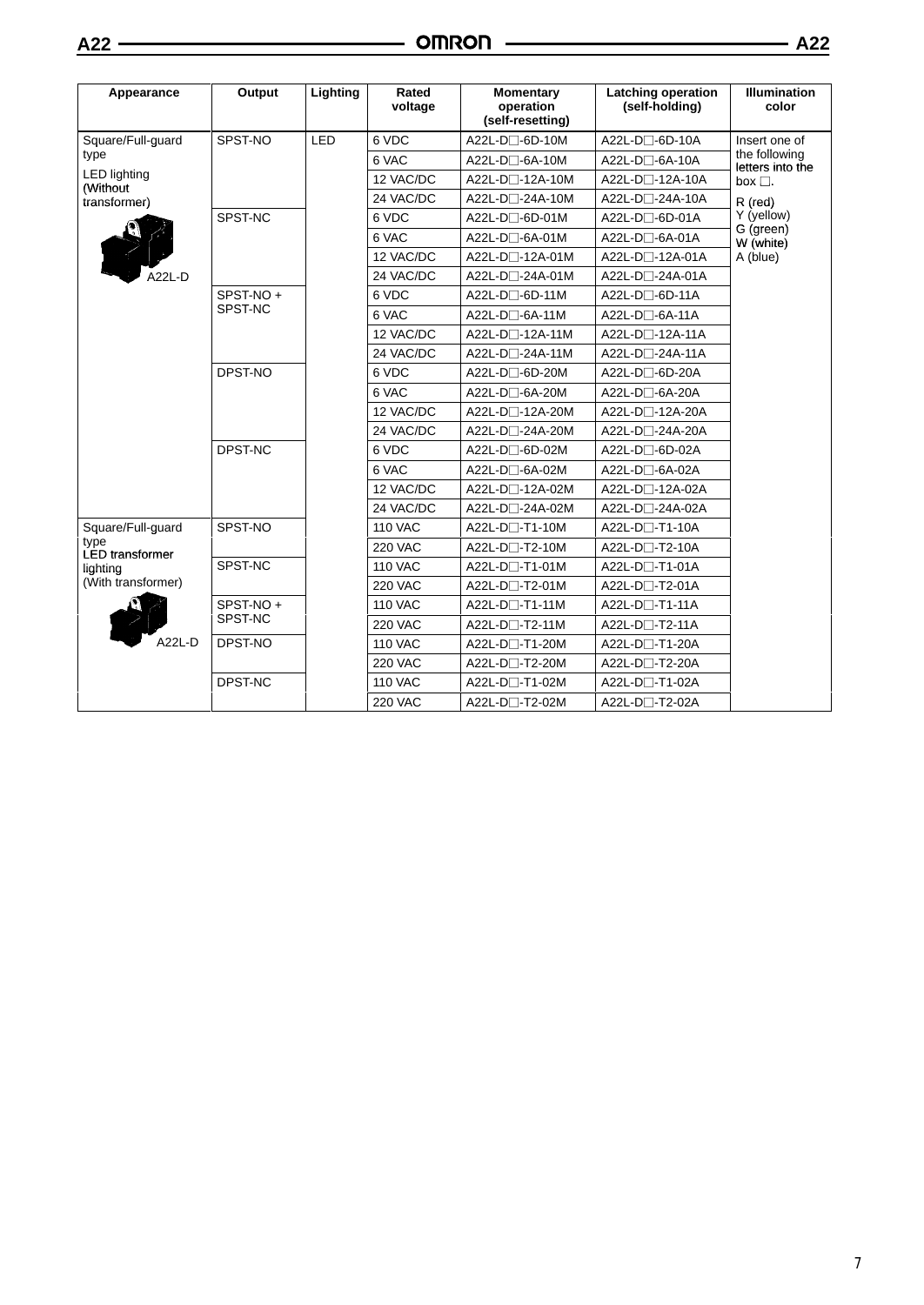| Appearance                      | Output              | Lighting | Rated<br>voltage | <b>Momentary</b><br>operation<br>(self-resetting) | <b>Latching operation</b><br>(self-holding) | <b>Illumination</b><br>color         |
|---------------------------------|---------------------|----------|------------------|---------------------------------------------------|---------------------------------------------|--------------------------------------|
| Square/Full-guard               | SPST-NO             | LED      | 6 VDC            | A22L-D <sub>0</sub> -6D-10M                       | A22L-D□-6D-10A                              | Insert one of                        |
| type                            |                     |          | 6 VAC            | A22L-D□-6A-10M                                    | A22L-D□-6A-10A                              | the following<br>letters into the    |
| <b>LED lighting</b><br>(Without |                     |          | 12 VAC/DC        | A22L-D□-12A-10M                                   | A22L-D□-12A-10A                             | box $\square$ .                      |
| transformer)                    |                     |          | 24 VAC/DC        | A22L-D□-24A-10M                                   | A22L-D□-24A-10A                             | R (red)                              |
|                                 | SPST-NC             |          | 6 VDC            | A22L-D□-6D-01M                                    | A22L-D□-6D-01A                              | Y (yellow)<br>G (green)<br>W (white) |
|                                 |                     |          | 6 VAC            | $A22L-D \Box -6A-01M$                             | A22L-D□-6A-01A                              |                                      |
|                                 |                     |          | 12 VAC/DC        | A22L-D□-12A-01M                                   | A22L-D□-12A-01A                             | A (blue)                             |
| A22L-D                          |                     |          | 24 VAC/DC        | A22L-D□-24A-01M                                   | A22L-D <sub>2</sub> -24A-01A                |                                      |
|                                 | SPST-NO+            |          | 6 VDC            | A22L-D□-6D-11M                                    | $A22L-D \square -6D-11A$                    |                                      |
|                                 | SPST-NC             |          | 6 VAC            | A22L-D□-6A-11M                                    | $A22L-D \square - 6A-11A$                   |                                      |
|                                 |                     |          | 12 VAC/DC        | A22L-D□-12A-11M                                   | A22L-D□-12A-11A                             |                                      |
|                                 |                     |          | 24 VAC/DC        | A22L-D□-24A-11M                                   | A22L-D□-24A-11A                             |                                      |
|                                 | DPST-NO             |          | 6 VDC            | A22L-D□-6D-20M                                    | A22L-D□-6D-20A                              |                                      |
|                                 |                     |          | 6 VAC            | A22L-D□-6A-20M                                    | A22L-D□-6A-20A                              |                                      |
|                                 |                     |          | 12 VAC/DC        | A22L-D□-12A-20M                                   | A22L-D <sub>1</sub> -12A-20A                |                                      |
|                                 |                     |          | 24 VAC/DC        | A22L-D□-24A-20M                                   | A22L-D□-24A-20A                             |                                      |
|                                 | DPST-NC             |          | 6 VDC            | A22L-D□-6D-02M                                    | A22L-D□-6D-02A                              |                                      |
|                                 |                     |          | 6 VAC            | A22L-D□-6A-02M                                    | A22L-D□-6A-02A                              |                                      |
|                                 |                     |          | 12 VAC/DC        | A22L-D□-12A-02M                                   | A22L-D□-12A-02A                             |                                      |
|                                 |                     |          | 24 VAC/DC        | A22L-D□-24A-02M                                   | A22L-D□-24A-02A                             |                                      |
| Square/Full-guard               | SPST-NO             |          | <b>110 VAC</b>   | A22L-D□-T1-10M                                    | A22L-D□-T1-10A                              |                                      |
| type<br><b>LED</b> transformer  |                     |          | <b>220 VAC</b>   | A22L-D $\Box$ -T2-10M                             | A22L-D□-T2-10A                              |                                      |
| lighting                        | SPST-NC             |          | <b>110 VAC</b>   | A22L-D□-T1-01M                                    | A22L-D□-T1-01A                              |                                      |
| (With transformer)<br>A22L-D    |                     |          | <b>220 VAC</b>   | A22L-D□-T2-01M                                    | A22L-D□-T2-01A                              |                                      |
|                                 | SPST-NO+<br>SPST-NC |          | <b>110 VAC</b>   | A22L-D□-T1-11M                                    | A22L-D□-T1-11A                              |                                      |
|                                 |                     |          | <b>220 VAC</b>   | A22L-D□-T2-11M                                    | A22L-D <sub>1</sub> -T2-11A                 |                                      |
|                                 | DPST-NO             |          | <b>110 VAC</b>   | A22L-D□-T1-20M                                    | A22L-D□-T1-20A                              |                                      |
|                                 |                     |          | <b>220 VAC</b>   | A22L-D <sub>-</sub> T2-20M                        | A22L-D□-T2-20A                              |                                      |
|                                 | DPST-NC             |          | <b>110 VAC</b>   | A22L-D□-T1-02M                                    | A22L-D□-T1-02A                              |                                      |
|                                 |                     |          | <b>220 VAC</b>   | A22L-D□-T2-02M                                    | A22L-D□-T2-02A                              |                                      |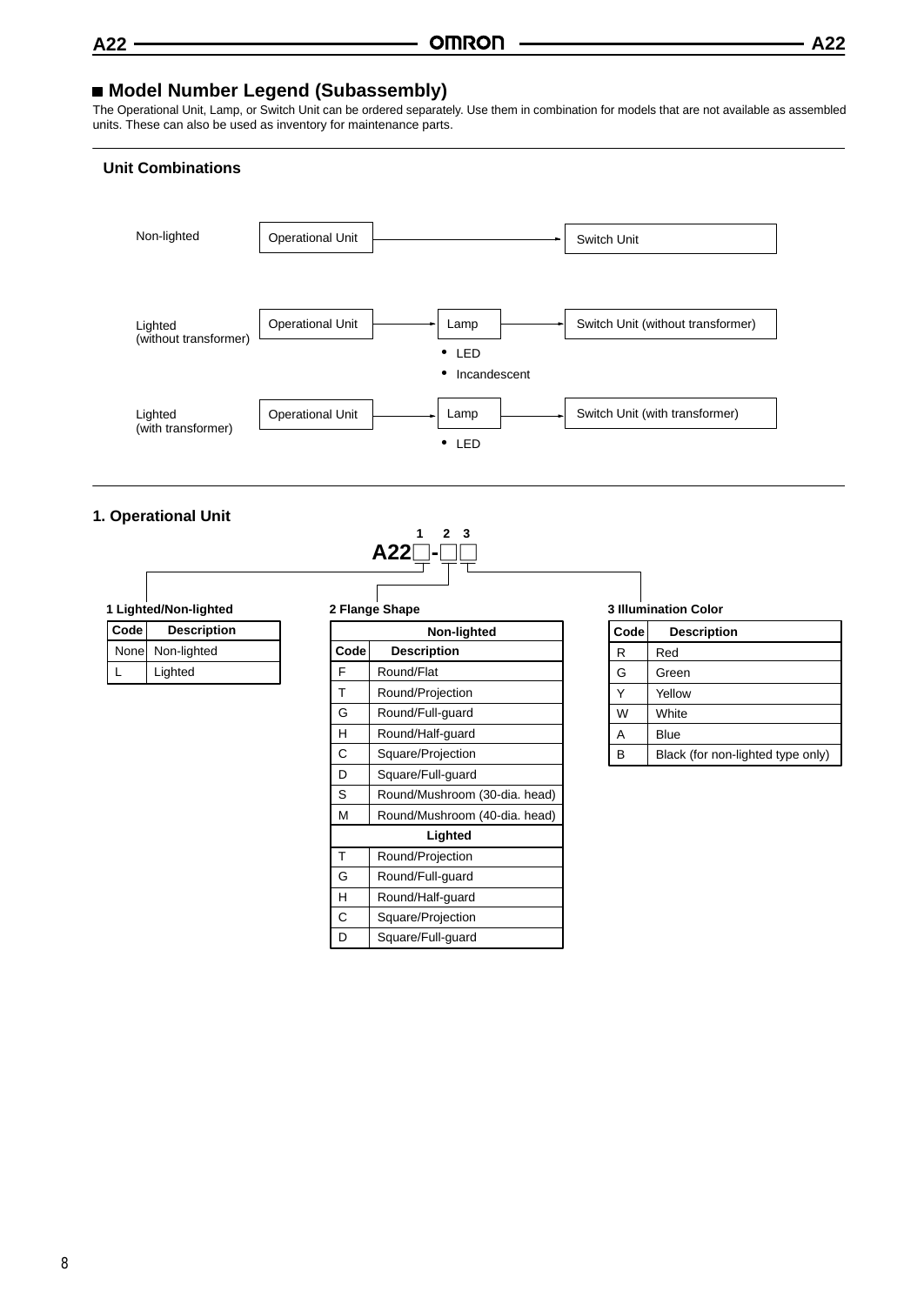# **Model Number Legend (Subassembly)**

The Operational Unit, Lamp, or Switch Unit can be ordered separately. Use them in combination for models that are not available as assembled units. These can also be used as inventory for maintenance parts.

# **Unit Combinations**



# **1. Operational Unit**



| 1 Lighted/Non-lighted |                    |  |
|-----------------------|--------------------|--|
| $\boxed{\text{Code}}$ | <b>Description</b> |  |

| ∣ v∪uc i | Description      |
|----------|------------------|
|          | None Non-lighted |
|          | Lighted          |

#### **2 Flange Shape**

| Non-lighted |                               |  |
|-------------|-------------------------------|--|
| Code        | <b>Description</b>            |  |
| F           | Round/Flat                    |  |
| т           | Round/Projection              |  |
| G           | Round/Full-guard              |  |
| н           | Round/Half-guard              |  |
| C           | Square/Projection             |  |
| D           | Square/Full-guard             |  |
| S           | Round/Mushroom (30-dia. head) |  |
| М           | Round/Mushroom (40-dia. head) |  |
|             | Lighted                       |  |
| T           | Round/Projection              |  |
| G           | Round/Full-guard              |  |
| н           | Round/Half-guard              |  |
| C           | Square/Projection             |  |
| D           | Square/Full-guard             |  |

#### **3 Illumination Color**

| Code | <b>Description</b>                |
|------|-----------------------------------|
| R    | Red                               |
| G    | Green                             |
| ٧    | Yellow                            |
| W    | White                             |
| Α    | Blue                              |
| B    | Black (for non-lighted type only) |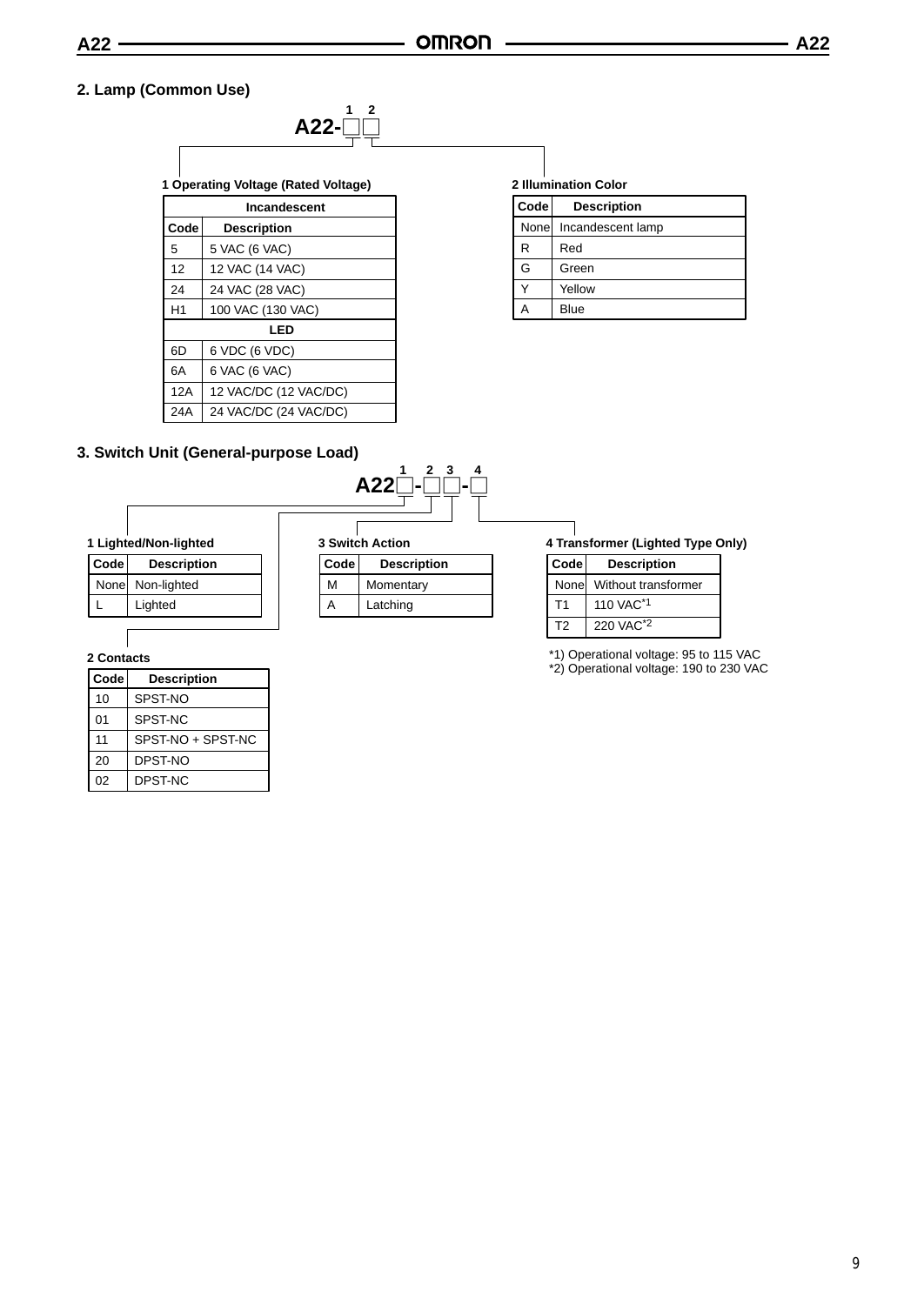# **2. Lamp (Common Use)**



| Code | <b>Description</b>    |  |  |
|------|-----------------------|--|--|
| 5    | 5 VAC (6 VAC)         |  |  |
| 12   | 12 VAC (14 VAC)       |  |  |
| 24   | 24 VAC (28 VAC)       |  |  |
| H1   | 100 VAC (130 VAC)     |  |  |
|      | LED                   |  |  |
| 6D   | 6 VDC (6 VDC)         |  |  |
| 6A   | 6 VAC (6 VAC)         |  |  |
| 12A  | 12 VAC/DC (12 VAC/DC) |  |  |
| 24A  | 24 VAC/DC (24 VAC/DC) |  |  |

#### **2 Illumination Color**

| Code  | <b>Description</b> |
|-------|--------------------|
| Nonel | Incandescent lamp  |
| R     | Red                |
| G     | Green              |
|       | Yellow             |
|       | Blue               |

# **3. Switch Unit (General-purpose Load)**



# **1 Lighted/Non-lighted**

| Code | <b>Description</b> |
|------|--------------------|
|      | None Non-lighted   |
|      | Lighted            |
|      |                    |

#### **2 Contacts**

| l Code | <b>Description</b> |
|--------|--------------------|
| 10     | SPST-NO            |
| 01     | SPST-NC            |
| 11     | SPST-NO + SPST-NC  |
| 20     | DPST-NO            |
| 02     | DPST-NC            |

| Code | <b>Description</b> |
|------|--------------------|
| м    | Momentary          |
| А    | Latching           |

### **4 Transformer (Lighted Type Only)**

| Code  | <b>Description</b>    |
|-------|-----------------------|
| Nonel | Without transformer   |
| Τ1    | 110 VAC <sup>*1</sup> |
| T2    | 220 VAC <sup>*2</sup> |

\*1) Operational voltage: 95 to 115 VAC

\*2) Operational voltage: 190 to 230 VAC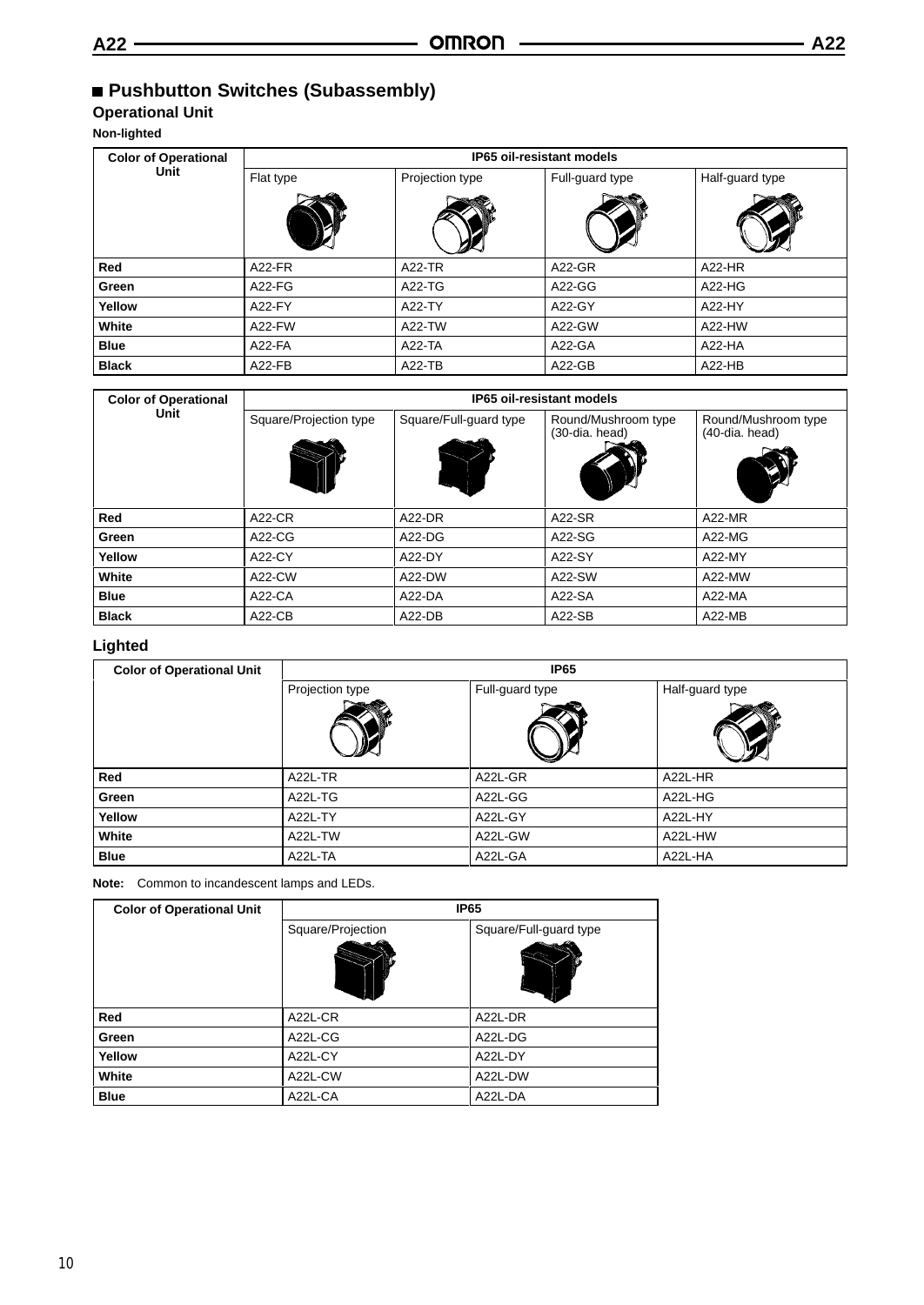# **Operational Unit**

**Non-lighted**

| <b>Color of Operational</b> | <b>IP65 oil-resistant models</b> |                 |                 |                 |
|-----------------------------|----------------------------------|-----------------|-----------------|-----------------|
| Unit                        | Flat type                        | Projection type | Full-guard type | Half-guard type |
|                             |                                  |                 |                 |                 |
| Red                         | <b>A22-FR</b>                    | <b>A22-TR</b>   | A22-GR          | A22-HR          |
| Green                       | $A22-FG$                         | A22-TG          | A22-GG          | $A22-HG$        |
| Yellow                      | A22-FY                           | A22-TY          | A22-GY          | A22-HY          |
| White                       | A22-FW                           | A22-TW          | A22-GW          | A22-HW          |
| <b>Blue</b>                 | A22-FA                           | $A22-TA$        | A22-GA          | $A22-HA$        |
| <b>Black</b>                | $A22-FB$                         | A22-TB          | $A22-GB$        | $A22-HB$        |

| <b>Color of Operational</b><br>Unit | <b>IP65 oil-resistant models</b> |                        |                                       |                                       |
|-------------------------------------|----------------------------------|------------------------|---------------------------------------|---------------------------------------|
|                                     | Square/Projection type           | Square/Full-guard type | Round/Mushroom type<br>(30-dia. head) | Round/Mushroom type<br>(40-dia. head) |
| Red                                 | <b>A22-CR</b>                    | A22-DR                 | A22-SR                                | $A22-MR$                              |
| Green                               | $A22-CG$                         | $A22-DG$               | A22-SG                                | A22-MG                                |
| Yellow                              | A22-CY                           | A22-DY                 | A22-SY                                | A22-MY                                |
| White                               | A22-CW                           | A22-DW                 | A22-SW                                | A22-MW                                |
| <b>Blue</b>                         | $A22-CA$                         | $A22-DA$               | A22-SA                                | $A22-MA$                              |
| <b>Black</b>                        | $A22-CB$                         | $A22-DB$               | $A22-SB$                              | $A22-MB$                              |

# **Lighted**

| <b>Color of Operational Unit</b> | <b>IP65</b>     |                 |                 |  |  |
|----------------------------------|-----------------|-----------------|-----------------|--|--|
|                                  | Projection type | Full-guard type | Half-guard type |  |  |
|                                  |                 |                 |                 |  |  |
| Red                              | A22L-TR         | A22L-GR         | A22L-HR         |  |  |
| Green                            | A22L-TG         | A22L-GG         | A22L-HG         |  |  |
| Yellow                           | A22L-TY         | A22L-GY         | A22L-HY         |  |  |
| White                            | A22L-TW         | A22L-GW         | A22L-HW         |  |  |
| <b>Blue</b>                      | A22L-TA         | A22L-GA         | A22L-HA         |  |  |

**Note:** Common to incandescent lamps and LEDs.

| <b>Color of Operational Unit</b> | <b>IP65</b>       |                        |  |
|----------------------------------|-------------------|------------------------|--|
|                                  | Square/Projection | Square/Full-guard type |  |
|                                  |                   |                        |  |
| Red                              | A22L-CR           | A22L-DR                |  |
| Green                            | A22L-CG           | A22L-DG                |  |
| Yellow                           | A22L-CY           | A22L-DY                |  |
| White                            | A22L-CW           | A22L-DW                |  |
| <b>Blue</b>                      | A22L-CA           | A22L-DA                |  |

10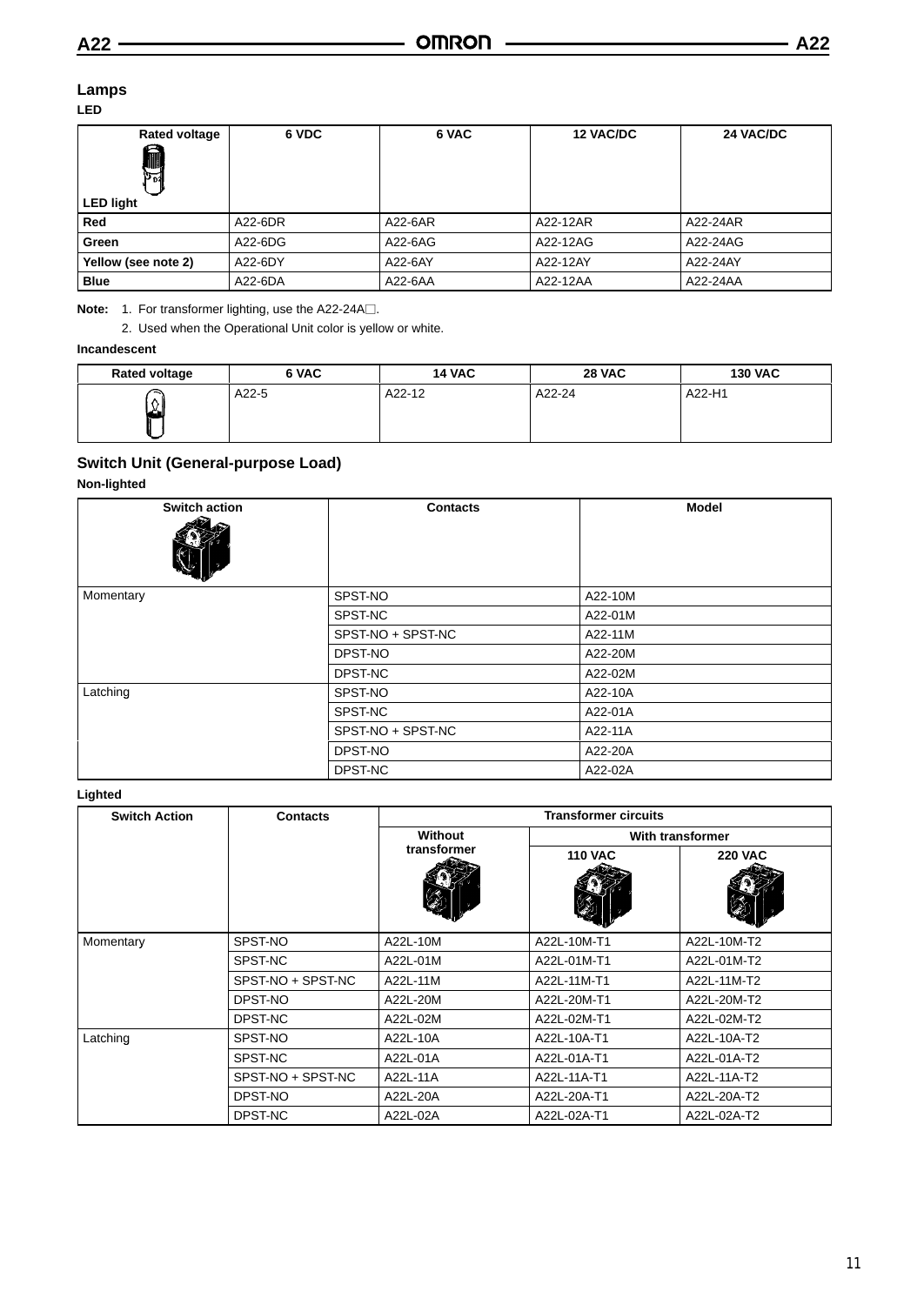**6 VDC 6 VAC 12 VAC/DC 24 VAC/DC**

#### **Lamps LED**

| -20                     |         |         |                  |          |
|-------------------------|---------|---------|------------------|----------|
| <b>Rated voltage</b>    | 6 VDC   | 6 VAC   | <b>12 VAC/DC</b> | 24'      |
| e<br>JIII B.<br>$3^{2}$ |         |         |                  |          |
| <b>LED light</b>        |         |         |                  |          |
| Red                     | A22-6DR | A22-6AR | A22-12AR         | A22-24AR |
| Green                   | A22-6DG | A22-6AG | A22-12AG         | A22-24AG |
| Yellow (see note 2)     | A22-6DY | A22-6AY | A22-12AY         | A22-24AY |

**Note:** 1. For transformer lighting, use the A22-24A□.

2. Used when the Operational Unit color is yellow or white.

# **Incandescent**

| <b>Rated voltage</b> | 6 VAC   | <b>14 VAC</b> | <b>28 VAC</b> | <b>130 VAC</b> |
|----------------------|---------|---------------|---------------|----------------|
| ∼<br>۸I              | $A22-5$ | A22-12        | A22-24        | A22-H1         |

**Blue** A22-6DA A22-6AA A22-12AA A22-24AA

# **Switch Unit (General-purpose Load)**

#### **Non-lighted**

| <b>Switch action</b> | <b>Contacts</b>   | <b>Model</b> |
|----------------------|-------------------|--------------|
| Momentary            | SPST-NO           | A22-10M      |
|                      | SPST-NC           | A22-01M      |
|                      | SPST-NO + SPST-NC | A22-11M      |
|                      | DPST-NO           | A22-20M      |
|                      | DPST-NC           | A22-02M      |
| Latching             | SPST-NO           | A22-10A      |
|                      | SPST-NC           | A22-01A      |
|                      | SPST-NO + SPST-NC | A22-11A      |
|                      | DPST-NO           | A22-20A      |
|                      | DPST-NC           | A22-02A      |

#### **Lighted**

| <b>Switch Action</b> | <b>Contacts</b>   | <b>Transformer circuits</b>   |                |                  |
|----------------------|-------------------|-------------------------------|----------------|------------------|
|                      |                   | <b>Without</b><br>transformer |                | With transformer |
|                      |                   |                               | <b>110 VAC</b> | <b>220 VAC</b>   |
| Momentary            | SPST-NO           | A22L-10M                      | A22L-10M-T1    | A22L-10M-T2      |
|                      | SPST-NC           | A22L-01M                      | A22L-01M-T1    | A22L-01M-T2      |
|                      | SPST-NO + SPST-NC | A22L-11M                      | A22L-11M-T1    | A22L-11M-T2      |
|                      | DPST-NO           | A22L-20M                      | A22L-20M-T1    | A22L-20M-T2      |
|                      | DPST-NC           | A22L-02M                      | A22L-02M-T1    | A22L-02M-T2      |
| Latching             | SPST-NO           | A22L-10A                      | A22L-10A-T1    | A22L-10A-T2      |
|                      | SPST-NC           | A22L-01A                      | A22L-01A-T1    | A22L-01A-T2      |
|                      | SPST-NO + SPST-NC | A22L-11A                      | A22L-11A-T1    | A22L-11A-T2      |
|                      | DPST-NO           | A22L-20A                      | A22L-20A-T1    | A22L-20A-T2      |
|                      | DPST-NC           | A22L-02A                      | A22L-02A-T1    | A22L-02A-T2      |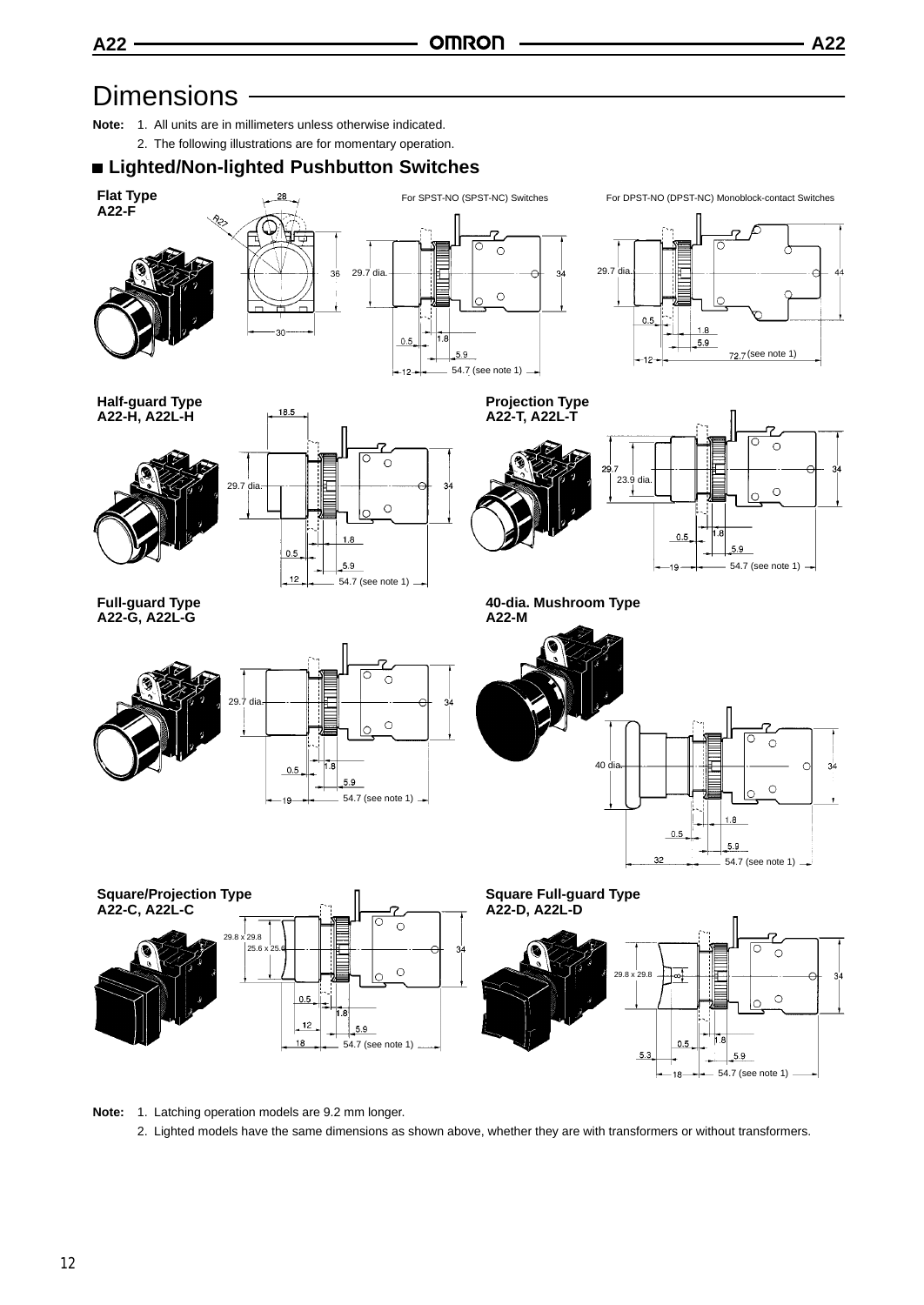

- **Note:** 1. All units are in millimeters unless otherwise indicated.
	- 2. The following illustrations are for momentary operation.

# **Lighted/Non-lighted Pushbutton Switches**







**Half-guard Type A22-H, A22L-H**





**Projection Type A22-T, A22L-T**





**40-dia. Mushroom Type A22-M**

**Full-guard Type A22-G, A22L-G**



╔  $\circ$ 40 dia.  $\circ$  $1.8$  $0.5$ 

32





54.7 (see note 1)  $-$ 

 $5.9$ 

 $34$ 

**Note:** 1. Latching operation models are 9.2 mm longer.

2. Lighted models have the same dimensions as shown above, whether they are with transformers or without transformers.